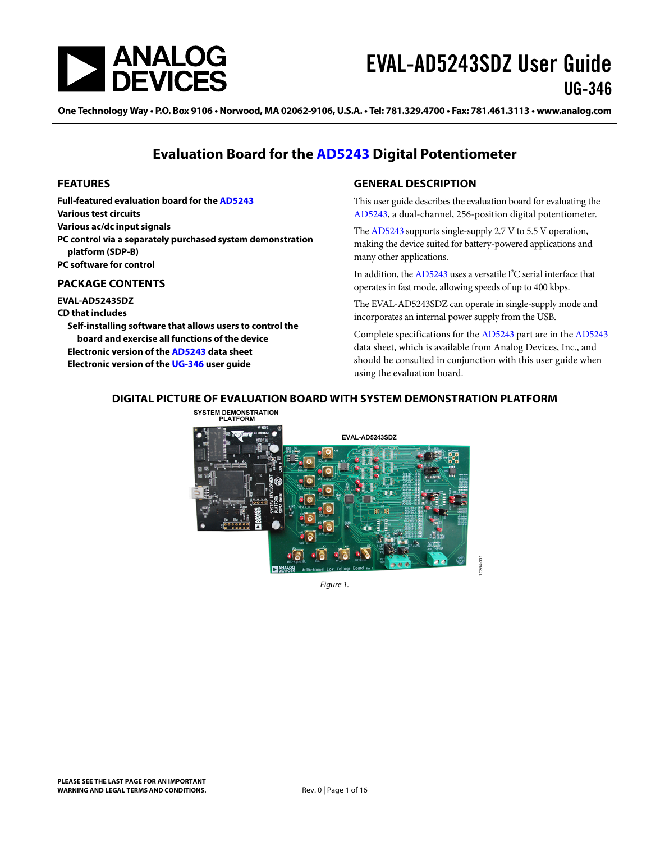<span id="page-0-0"></span>

One Technology Way • P.O. Box 9106 • Norwood, MA 02062-9106, U.S.A. • Tel: 781.329.4700 • Fax: 781.461.3113 • www.analog.com

# **Evaluation Board for the [AD5243](www.analog.com/AD5243) Digital Potentiometer**

### **FEATURES**

**Full-featured evaluation board for the [AD5243](http://www.analog.com/AD5243) Various test circuits Various ac/dc input signals PC control via a separately purchased system demonstration platform (SDP-B) PC software for control** 

### **PACKAGE CONTENTS**

**EVAL-AD5243SDZ** 

**CD that includes** 

**Self-installing software that allows users to control the board and exercise all functions of the device Electronic version of the [AD5243](http://www.analog.com/AD8403) data sheet Electronic version of the [UG-346](http://www.analog.com/UG-346) user guide** 

### **GENERAL DESCRIPTION**

This user guide describes the evaluation board for evaluating the [AD5243,](http://www.analog.com/AD5243) a dual-channel, 256-position digital potentiometer.

The [AD5243](http://www.analog.com/AD5243) supports single-supply 2.7 V to 5.5 V operation, making the device suited for battery-powered applications and many other applications.

In addition, the [AD5243](http://www.analog.com/AD5243) uses a versatile I<sup>2</sup>C serial interface that operates in fast mode, allowing speeds of up to 400 kbps.

The EVAL-AD5243SDZ can operate in single-supply mode and incorporates an internal power supply from the USB.

Complete specifications for the [AD5243](http://www.analog.com/AD5243) part are in the [AD5243](http://www.analog.com/AD5243) data sheet, which is available from Analog Devices, Inc., and should be consulted in conjunction with this user guide when using the evaluation board.

# **DIGITAL PICTURE OF EVALUATION BOARD WITH SYSTEM DEMONSTRATION PLATFORM**



Figure 1.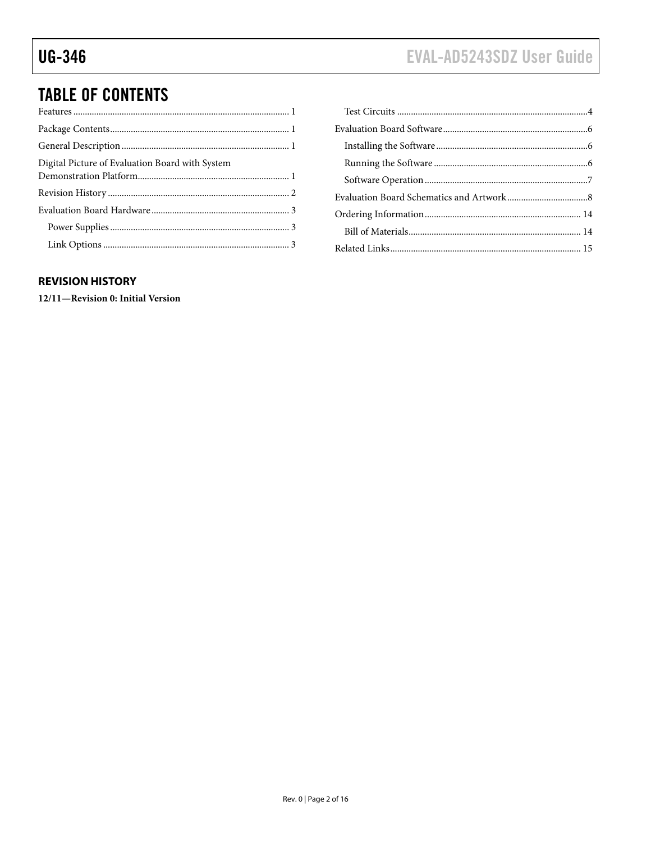# <span id="page-1-0"></span>**TABLE OF CONTENTS**

| Digital Picture of Evaluation Board with System |  |
|-------------------------------------------------|--|
|                                                 |  |
|                                                 |  |
|                                                 |  |
|                                                 |  |

# **REVISION HISTORY**

12/11-Revision 0: Initial Version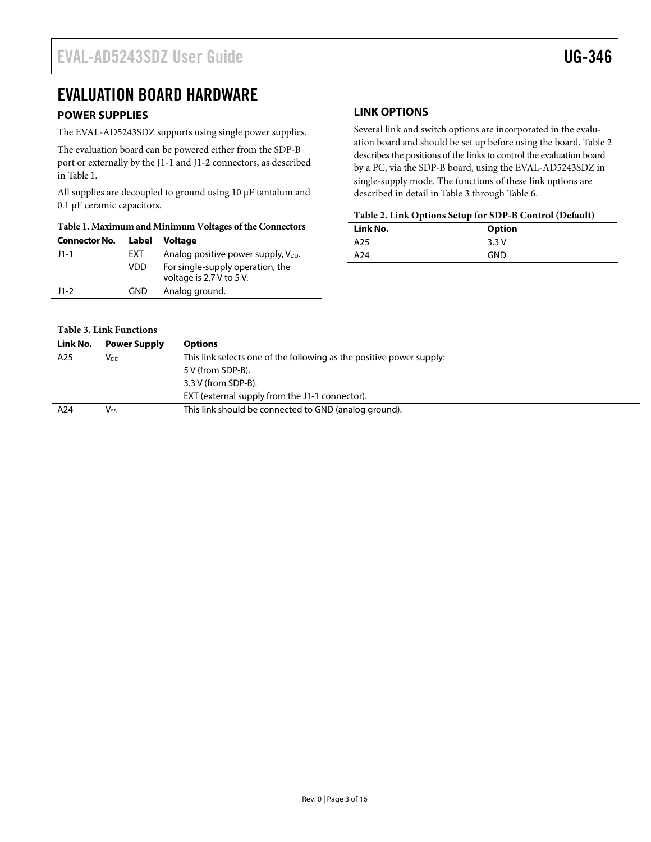# <span id="page-2-0"></span>EVALUATION BOARD HARDWARE

### <span id="page-2-4"></span>**POWER SUPPLIES**

The EVAL-AD5243SDZ supports using single power supplies.

The evaluation board can be powered either from the SDP-B port or externally by the J1-1 and J1-2 connectors, as described in [Table 1](#page-2-1).

All supplies are decoupled to ground using 10 μF tantalum and 0.1 μF ceramic capacitors.

# <span id="page-2-2"></span>**Table 1. Maximum and Minimum Voltages of the Connectors**

<span id="page-2-1"></span>

| <b>Connector No.</b> | Label      | <b>Voltage</b>                                               |
|----------------------|------------|--------------------------------------------------------------|
| $11 - 1$             | EXT        | Analog positive power supply, V <sub>DD</sub> .              |
|                      | <b>VDD</b> | For single-supply operation, the<br>voltage is 2.7 V to 5 V. |
| $11-2$               | <b>GND</b> | Analog ground.                                               |

# **LINK OPTIONS**

Several link and switch options are incorporated in the evaluation board and should be set up before using the board. [Table 2](#page-2-2) describes the positions of the links to control the evaluation board by a PC, via the SDP-B board, using the EVAL-AD5243SDZ in single-supply mode. The functions of these link options are described in detail in [Table 3](#page-2-3) through [Table 6](#page-4-0).

#### **Table 2. Link Options Setup for SDP-B Control (Default)**

| Link No. | <b>Option</b> |
|----------|---------------|
| A25      | 3.3V          |
| A24      | <b>GND</b>    |

<span id="page-2-3"></span>

| Link No. | <b>Power Supply</b>   | <b>Options</b>                                                       |
|----------|-----------------------|----------------------------------------------------------------------|
| A25      | $V_{DD}$              | This link selects one of the following as the positive power supply: |
|          |                       | 5 V (from SDP-B).                                                    |
|          |                       | 3.3 V (from SDP-B).                                                  |
|          |                       | EXT (external supply from the J1-1 connector).                       |
| A24      | <b>V<sub>ss</sub></b> | This link should be connected to GND (analog ground).                |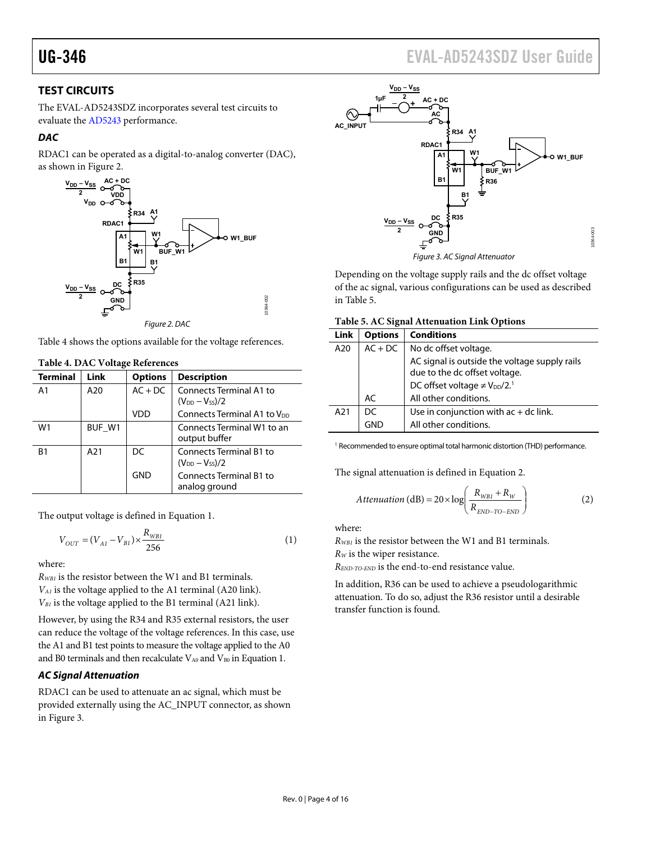# <span id="page-3-0"></span>UG-346 EVAL-AD5243SDZ User Guide

# **TEST CIRCUITS**

The EVAL-AD5243SDZ incorporates several test circuits to evaluate the [AD5243](http://www.analog.com/AD5243) performance.

### **DAC**

RDAC1 can be operated as a digital-to-analog converter (DAC), as shown in [Figure 2.](#page-3-1)



<span id="page-3-3"></span><span id="page-3-1"></span>[Table 4](#page-3-2) shows the options available for the voltage references.

<span id="page-3-2"></span>

| $1.0015$ $1.0015$ $1.010$ |                 |                |                                                         |  |
|---------------------------|-----------------|----------------|---------------------------------------------------------|--|
| <b>Terminal</b>           | <b>Link</b>     | <b>Options</b> | <b>Description</b>                                      |  |
| A <sub>1</sub>            | A20             | $AC + DC$      | Connects Terminal A1 to<br>$(V_{DD} - V_{SS})/2$        |  |
|                           |                 | VDD            | Connects Terminal A1 to V <sub>DD</sub>                 |  |
| W <sub>1</sub>            | BUF W1          |                | Connects Terminal W1 to an<br>output buffer             |  |
| B1                        | A <sub>21</sub> | DC             | <b>Connects Terminal B1 to</b><br>$(V_{DD} - V_{SS})/2$ |  |
|                           |                 | <b>GND</b>     | <b>Connects Terminal B1 to</b><br>analog ground         |  |

#### **Table 4. DAC Voltage References**

The output voltage is defined in Equation 1.

$$
V_{OUT} = (V_{AI} - V_{BI}) \times \frac{R_{WBI}}{256}
$$
 (1)

where:

*RWB1* is the resistor between the W1 and B1 terminals. *VA1* is the voltage applied to the A1 terminal (A20 link). *VB1* is the voltage applied to the B1 terminal (A21 link).

However, by using the R34 and R35 external resistors, the user can reduce the voltage of the voltage references. In this case, use the A1 and B1 test points to measure the voltage applied to the A0 and B0 terminals and then recalculate  $V_{A0}$  and  $V_{B0}$  in Equation 1.

### **AC Signal Attenuation**

RDAC1 can be used to attenuate an ac signal, which must be provided externally using the AC\_INPUT connector, as shown in [Figure 3.](#page-3-3)



Figure 3. AC Signal Attenuator

Depending on the voltage supply rails and the dc offset voltage of the ac signal, various configurations can be used as described in [Table 5](#page-3-1).

| Table 5. AC Signal Attenuation Link Options |  |  |
|---------------------------------------------|--|--|
|---------------------------------------------|--|--|

| <b>Link</b> | <b>Options</b> | <b>Conditions</b>                                                              |
|-------------|----------------|--------------------------------------------------------------------------------|
| A20         | $AC + DC$      | No dc offset voltage.                                                          |
|             |                | AC signal is outside the voltage supply rails<br>due to the dc offset voltage. |
|             |                | DC offset voltage $\neq$ V <sub>DD</sub> /2. <sup>1</sup>                      |
|             | AC             | All other conditions.                                                          |
| A21         | DС             | Use in conjunction with $ac + dc$ link.                                        |
|             | GND            | All other conditions.                                                          |

<sup>1</sup> Recommended to ensure optimal total harmonic distortion (THD) performance.

The signal attenuation is defined in Equation 2.

$$
Attention (dB) = 20 \times \log \left( \frac{R_{WB1} + R_W}{R_{END-TO-END}} \right)
$$
 (2)

where:

*RWB1* is the resistor between the W1 and B1 terminals. *RW* is the wiper resistance.

*REND-TO-END* is the end-to-end resistance value.

In addition, R36 can be used to achieve a pseudologarithmic attenuation. To do so, adjust the R36 resistor until a desirable transfer function is found.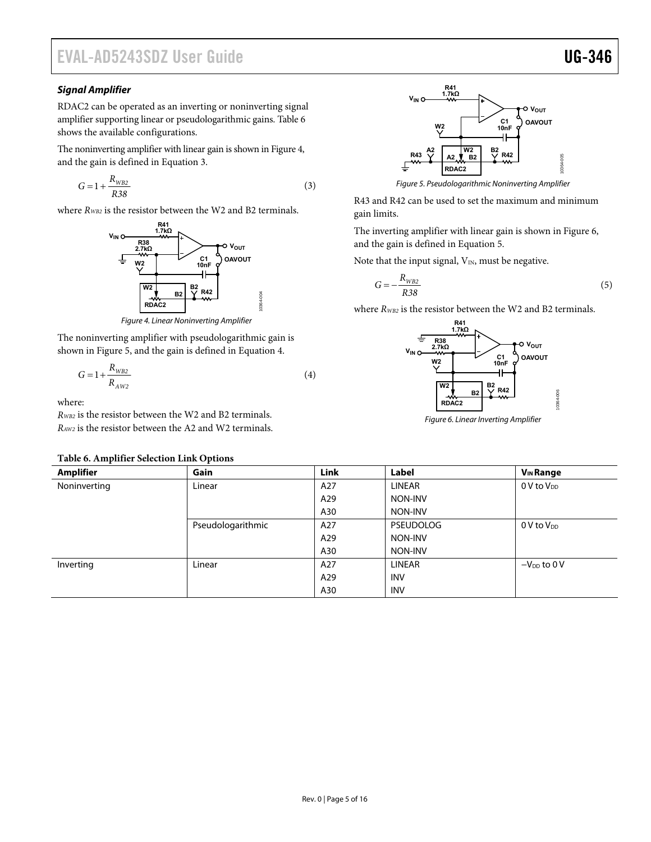# EVAL-AD5243SDZ User Guide Valley Controller Controller Controller Controller Controller Controller Controller

### **Signal Amplifier**

RDAC2 can be operated as an inverting or noninverting signal amplifier supporting linear or pseudologarithmic gains. [Table 6](#page-4-0) shows the available configurations.

The noninverting amplifier with linear gain is shown in [Figure 4](#page-4-1), and the gain is defined in Equation 3.

$$
G = 1 + \frac{R_{WB2}}{R38}
$$
 (3)

<span id="page-4-2"></span>where  $R_{WBE}$  is the resistor between the W2 and B2 terminals.  $q_{\text{gain}}$  limits.



Figure 4. Linear Noninverting Amplifier

<span id="page-4-1"></span>The noninverting amplifier with pseudologarithmic gain is shown in [Figure 5](#page-4-2), and the gain is defined in Equation 4.

$$
G = 1 + \frac{R_{WB2}}{R_{AW2}}\tag{4}
$$

10364-004

where:

<span id="page-4-3"></span>*RWB2* is the resistor between the W2 and B2 terminals. *R*<sub>WB2</sub> is the resistor between the W<sub>2</sub> and B<sub>2</sub> terminals. Figure 6. Linear Inverting Amplifier  $R_{AW2}$  is the resistor between the A<sub>2</sub> and W<sub>2</sub> terminals.

#### **Table 6. Amplifier Selection Link Options**



R43 and R42 can be used to set the maximum and minimum

The inverting amplifier with linear gain is shown in [Figure 6](#page-4-3), and the gain is defined in Equation 5.

Note that the input signal,  $V_{IN}$ , must be negative.

$$
G = -\frac{R_{WB2}}{R38} \tag{5}
$$

where  $R_{WB2}$  is the resistor between the W2 and B2 terminals.



<span id="page-4-0"></span>

| Table 6. Amplifier Selection Link Options |                   |      |                  |                             |
|-------------------------------------------|-------------------|------|------------------|-----------------------------|
| <b>Amplifier</b>                          | Gain              | Link | Label            | <b>V<sub>IN</sub></b> Range |
| Noninverting                              | Linear            | A27  | LINEAR           | $0V$ to $VDD$               |
|                                           |                   | A29  | NON-INV          |                             |
|                                           |                   | A30  | NON-INV          |                             |
|                                           | Pseudologarithmic | A27  | <b>PSEUDOLOG</b> | $0$ V to $V_{DD}$           |
|                                           |                   | A29  | NON-INV          |                             |
|                                           |                   | A30  | NON-INV          |                             |
| Inverting                                 | Linear            | A27  | LINEAR           | $-V_{DD}$ to 0 V            |
|                                           |                   | A29  | <b>INV</b>       |                             |
|                                           |                   | A30  | <b>INV</b>       |                             |
|                                           |                   |      |                  |                             |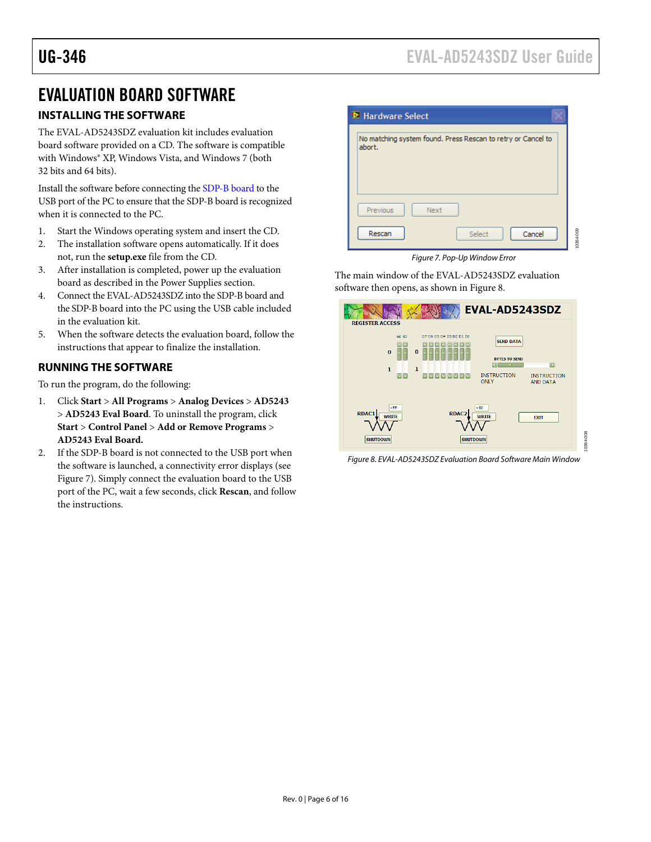10364-009

# <span id="page-5-0"></span>EVALUATION BOARD SOFTWARE

# **INSTALLING THE SOFTWARE**

The EVAL-AD5243SDZ evaluation kit includes evaluation board software provided on a CD. The software is compatible with Windows® XP, Windows Vista, and Windows 7 (both 32 bits and 64 bits).

Install the software before connecting the [SDP-B board](http://www.analog.com/sdp) to the USB port of the PC to ensure that the SDP-B board is recognized when it is connected to the PC.

- 1. Start the Windows operating system and insert the CD.
- 2. The installation software opens automatically. If it does not, run the **setup.exe** file from the CD.
- <span id="page-5-1"></span>3. After installation is completed, power up the evaluation board as described in the [Power Supplies](#page-2-4) section.
- 4. Connect the EVAL-AD5243SDZ into the SDP-B board and the SDP-B board into the PC using the USB cable included in the evaluation kit.
- 5. When the software detects the evaluation board, follow the instructions that appear to finalize the installation.

### **RUNNING THE SOFTWARE**

To run the program, do the following:

- 1. Click **Start** > **All Programs** > **Analog Devices** > **AD5243** > **AD5243 Eval Board**. To uninstall the program, click **Start** > **Control Panel** > **Add or Remove Programs** > **AD5243 Eval Board.**
- <span id="page-5-2"></span>2. If the SDP-B board is not connected to the USB port when the software is launched, a connectivity error displays (see [Figure 7](#page-5-1)). Simply connect the evaluation board to the USB port of the PC, wait a few seconds, click **Rescan**, and follow the instructions.

| No matching system found. Press Rescan to retry or Cancel to<br>abort. |      |  |  |  |
|------------------------------------------------------------------------|------|--|--|--|
|                                                                        |      |  |  |  |
|                                                                        |      |  |  |  |
| Previous                                                               | Next |  |  |  |
|                                                                        |      |  |  |  |

Figure 7. Pop-Up Window Error

The main window of the EVAL-AD5243SDZ evaluation software then opens, as shown in [Figure 8](#page-5-2).



Figure 8. EVAL-AD5243SDZ Evaluation Board Software Main Window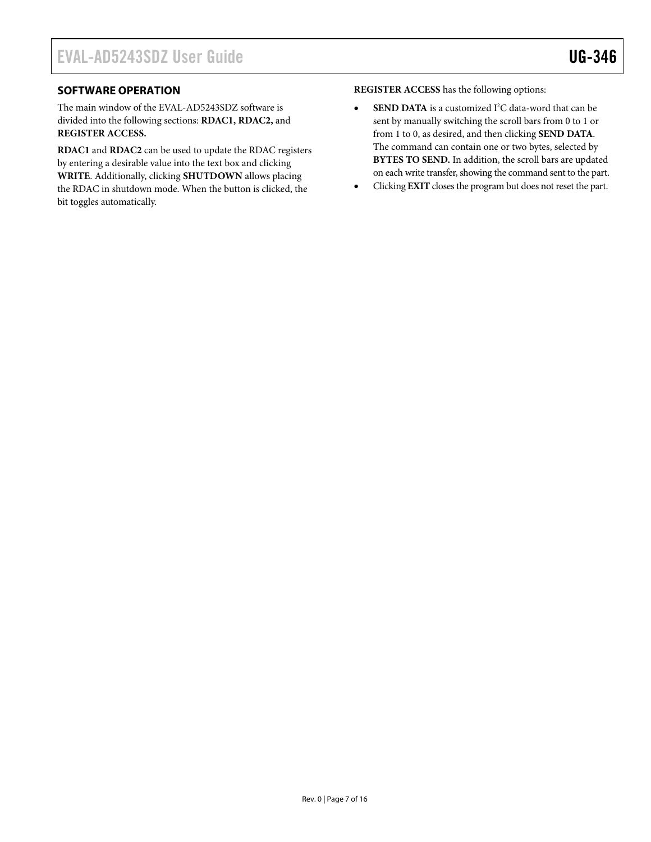### <span id="page-6-0"></span>**SOFTWARE OPERATION**

The main window of the EVAL-AD5243SDZ software is divided into the following sections: **RDAC1, RDAC2,** and **REGISTER ACCESS.**

**RDAC1** and **RDAC2** can be used to update the RDAC registers by entering a desirable value into the text box and clicking **WRITE**. Additionally, clicking **SHUTDOWN** allows placing the RDAC in shutdown mode. When the button is clicked, the bit toggles automatically.

**REGISTER ACCESS** has the following options:

- **SEND DATA** is a customized I<sup>2</sup>C data-word that can be sent by manually switching the scroll bars from 0 to 1 or from 1 to 0, as desired, and then clicking **SEND DATA**. The command can contain one or two bytes, selected by **BYTES TO SEND.** In addition, the scroll bars are updated on each write transfer, showing the command sent to the part.
- Clicking **EXIT** closes the program but does not reset the part.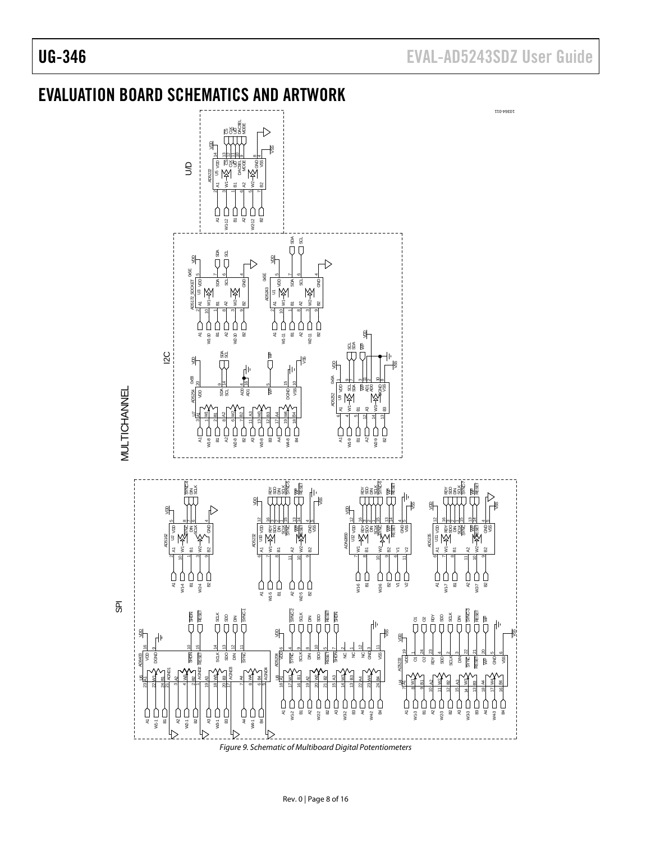<span id="page-7-0"></span>

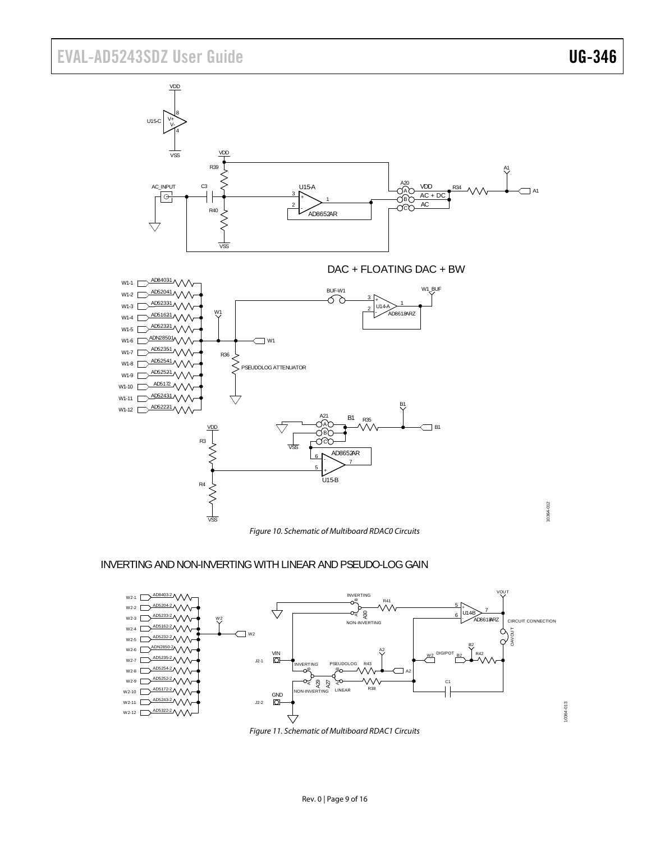# EVAL-AD5243SDZ User Guide Valley Controlled UG-346

10364-013

10364-013



### INVERTINGAND NON-INVERTING WITH LINEAR AND PSEUDO-LOG GAIN



Figure 11. Schematic of Multiboard RDAC1 Circuits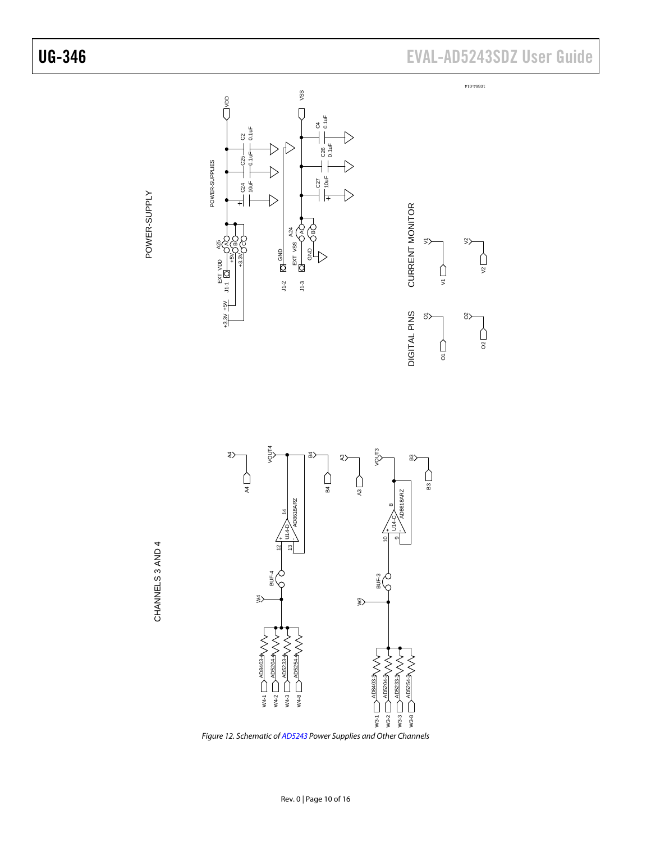



Figure 12. Schematic of [AD5243](http://www.analog.com/AD5243) Power Supplies and Other Channels

POWER-SUPPL

 $\succ$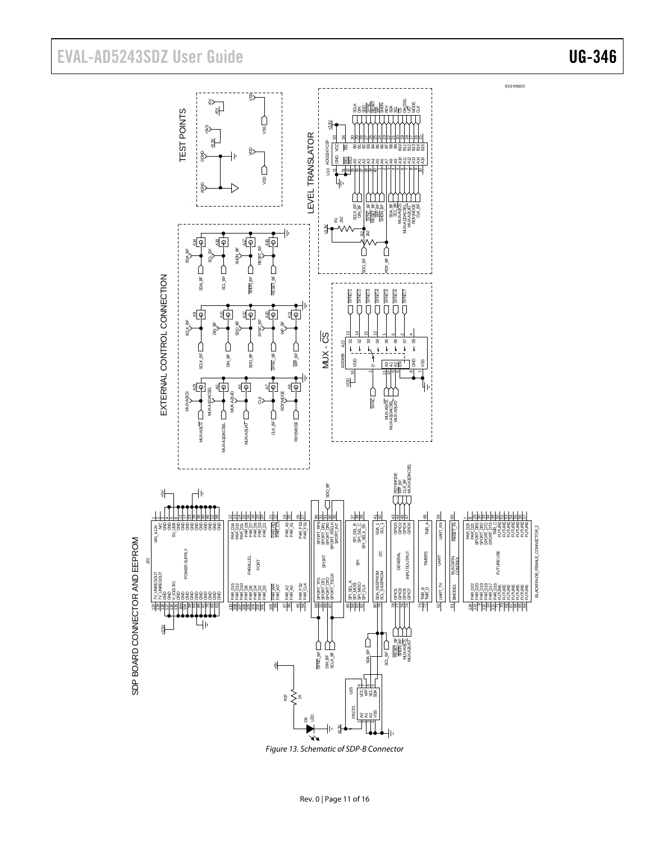# EVAL-AD5243SDZ User Guide Valley Controlled UG-346



Figure 13. Schematic of SDP-B Connector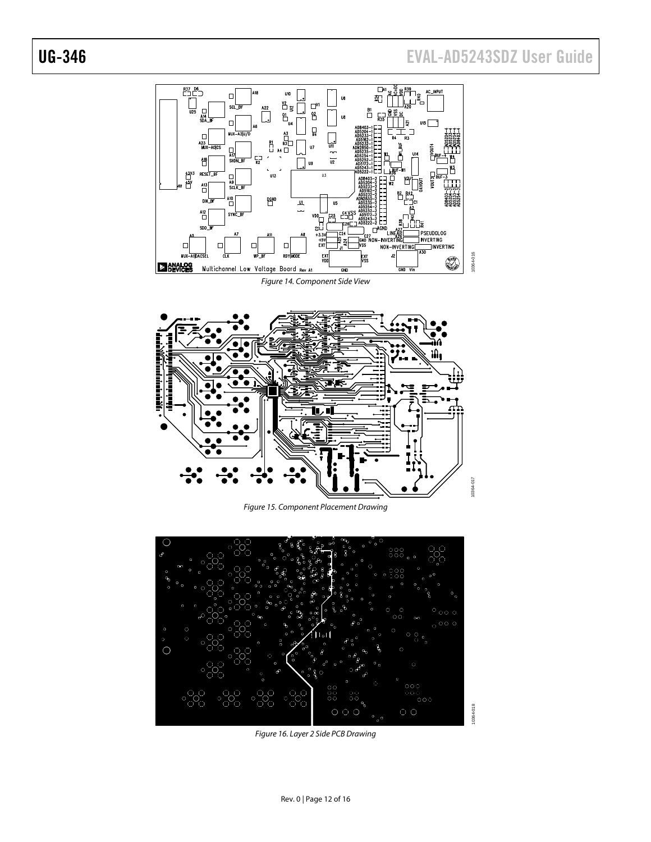# UG-346 EVAL-AD5243SDZ User Guide





Figure 15. Component Placement Drawing



Figure 16. Layer 2 Side PCB Drawing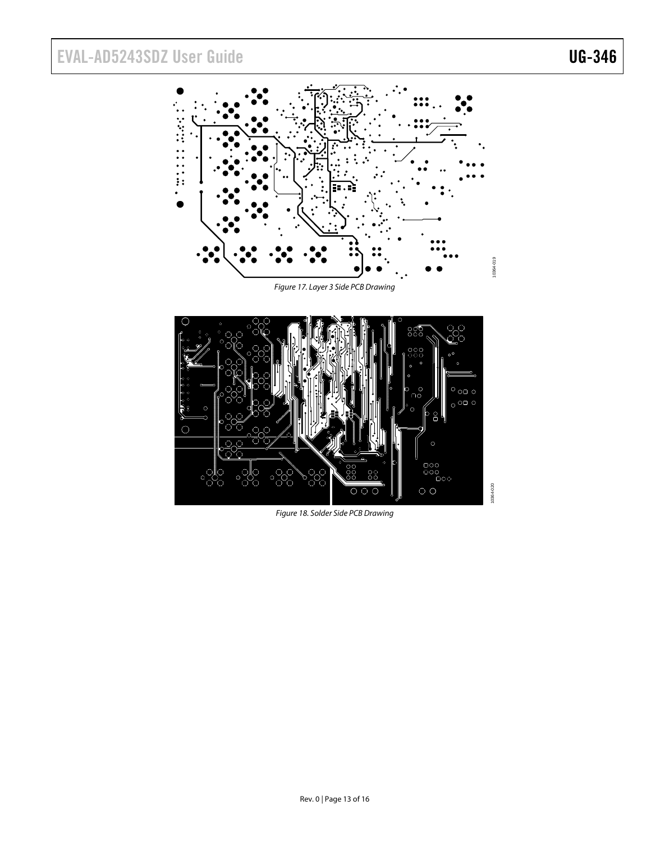# EVAL-AD5243SDZ User Guide Valley Contract Contract Contract Contract Contract Contract Contract Contract Contract Contract Contract Contract Contract Contract Contract Contract Contract Contract Contract Contract Contract



Figure 17. Layer 3 Side PCB Drawing



Figure 18. Solder Side PCB Drawing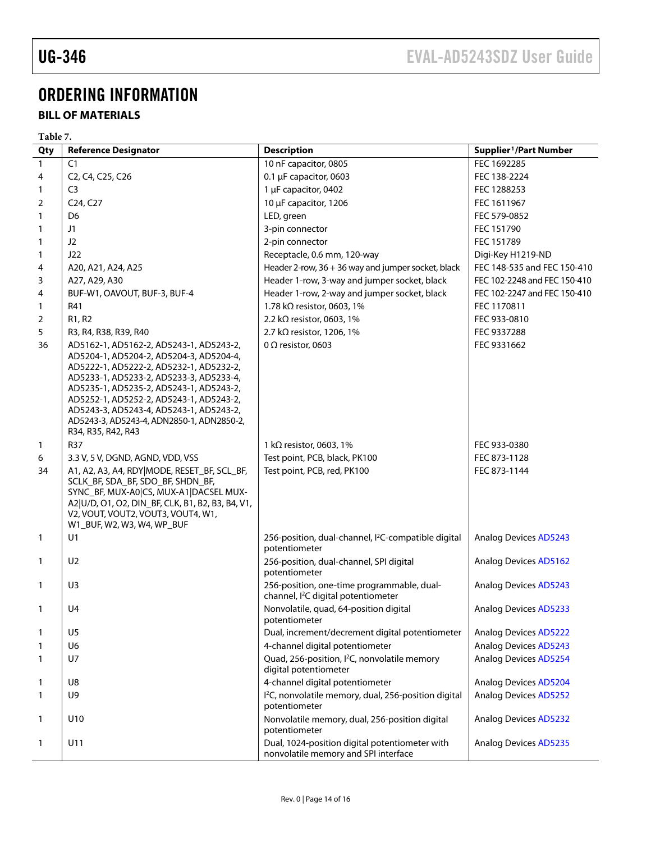# <span id="page-13-0"></span>ORDERING INFORMATION

# **BILL OF MATERIALS**

|                | Table 7.                                                                                                                                                                                                                                                                                                                                                                     |                                                                                             |                                    |  |  |
|----------------|------------------------------------------------------------------------------------------------------------------------------------------------------------------------------------------------------------------------------------------------------------------------------------------------------------------------------------------------------------------------------|---------------------------------------------------------------------------------------------|------------------------------------|--|--|
| Qty            | <b>Reference Designator</b>                                                                                                                                                                                                                                                                                                                                                  | <b>Description</b>                                                                          | Supplier <sup>1</sup> /Part Number |  |  |
| $\mathbf{1}$   | C1                                                                                                                                                                                                                                                                                                                                                                           | 10 nF capacitor, 0805                                                                       | FEC 1692285                        |  |  |
| 4              | C2, C4, C25, C26                                                                                                                                                                                                                                                                                                                                                             | $0.1 \mu$ F capacitor, 0603                                                                 | FEC 138-2224                       |  |  |
| 1              | C <sub>3</sub>                                                                                                                                                                                                                                                                                                                                                               | 1 µF capacitor, 0402                                                                        | FEC 1288253                        |  |  |
| 2              | C <sub>24</sub> , C <sub>27</sub>                                                                                                                                                                                                                                                                                                                                            | 10 µF capacitor, 1206                                                                       | FEC 1611967                        |  |  |
| 1              | D <sub>6</sub>                                                                                                                                                                                                                                                                                                                                                               | LED, green                                                                                  | FEC 579-0852                       |  |  |
| 1              | J1                                                                                                                                                                                                                                                                                                                                                                           | 3-pin connector                                                                             | FEC 151790                         |  |  |
| 1              | J <sub>2</sub>                                                                                                                                                                                                                                                                                                                                                               | 2-pin connector                                                                             | FEC 151789                         |  |  |
| 1              | J22                                                                                                                                                                                                                                                                                                                                                                          | Receptacle, 0.6 mm, 120-way                                                                 | Digi-Key H1219-ND                  |  |  |
| 4              | A20, A21, A24, A25                                                                                                                                                                                                                                                                                                                                                           | Header 2-row, 36 + 36 way and jumper socket, black                                          | FEC 148-535 and FEC 150-410        |  |  |
| 3              | A27, A29, A30                                                                                                                                                                                                                                                                                                                                                                | Header 1-row, 3-way and jumper socket, black                                                | FEC 102-2248 and FEC 150-410       |  |  |
| 4              | BUF-W1, OAVOUT, BUF-3, BUF-4                                                                                                                                                                                                                                                                                                                                                 | Header 1-row, 2-way and jumper socket, black                                                | FEC 102-2247 and FEC 150-410       |  |  |
| 1              | R41                                                                                                                                                                                                                                                                                                                                                                          | 1.78 k $\Omega$ resistor, 0603, 1%                                                          | FEC 1170811                        |  |  |
| $\overline{2}$ | R <sub>1</sub> , R <sub>2</sub>                                                                                                                                                                                                                                                                                                                                              | 2.2 k $\Omega$ resistor, 0603, 1%                                                           | FEC 933-0810                       |  |  |
| 5              | R3, R4, R38, R39, R40                                                                                                                                                                                                                                                                                                                                                        | 2.7 k $\Omega$ resistor, 1206, 1%                                                           | FEC 9337288                        |  |  |
| 36             | AD5162-1, AD5162-2, AD5243-1, AD5243-2,<br>AD5204-1, AD5204-2, AD5204-3, AD5204-4,<br>AD5222-1, AD5222-2, AD5232-1, AD5232-2,<br>AD5233-1, AD5233-2, AD5233-3, AD5233-4,<br>AD5235-1, AD5235-2, AD5243-1, AD5243-2,<br>AD5252-1, AD5252-2, AD5243-1, AD5243-2,<br>AD5243-3, AD5243-4, AD5243-1, AD5243-2,<br>AD5243-3, AD5243-4, ADN2850-1, ADN2850-2,<br>R34, R35, R42, R43 | 0 $\Omega$ resistor, 0603                                                                   | FEC 9331662                        |  |  |
| $\mathbf{1}$   | <b>R37</b>                                                                                                                                                                                                                                                                                                                                                                   | 1 k $\Omega$ resistor, 0603, 1%                                                             | FEC 933-0380                       |  |  |
| 6              | 3.3 V, 5 V, DGND, AGND, VDD, VSS                                                                                                                                                                                                                                                                                                                                             | Test point, PCB, black, PK100                                                               | FEC 873-1128                       |  |  |
| 34             | A1, A2, A3, A4, RDY MODE, RESET_BF, SCL_BF,<br>SCLK_BF, SDA_BF, SDO_BF, SHDN_BF,<br>SYNC_BF, MUX-A0 CS, MUX-A1 DACSEL MUX-<br>A2 U/D, O1, O2, DIN_BF, CLK, B1, B2, B3, B4, V1,<br>V2, VOUT, VOUT2, VOUT3, VOUT4, W1,<br>W1_BUF, W2, W3, W4, WP_BUF                                                                                                                           | Test point, PCB, red, PK100                                                                 | FEC 873-1144                       |  |  |
| $\mathbf{1}$   | U1                                                                                                                                                                                                                                                                                                                                                                           | 256-position, dual-channel, I <sup>2</sup> C-compatible digital<br>potentiometer            | <b>Analog Devices AD5243</b>       |  |  |
| $\mathbf{1}$   | U <sub>2</sub>                                                                                                                                                                                                                                                                                                                                                               | 256-position, dual-channel, SPI digital<br>potentiometer                                    | <b>Analog Devices AD5162</b>       |  |  |
| 1              | U <sub>3</sub>                                                                                                                                                                                                                                                                                                                                                               | 256-position, one-time programmable, dual-<br>channel, <sup>2</sup> C digital potentiometer | <b>Analog Devices AD5243</b>       |  |  |
| 1              | U4                                                                                                                                                                                                                                                                                                                                                                           | Nonvolatile, quad, 64-position digital<br>potentiometer                                     | <b>Analog Devices AD5233</b>       |  |  |
| 1              | U <sub>5</sub>                                                                                                                                                                                                                                                                                                                                                               | Dual, increment/decrement digital potentiometer                                             | <b>Analog Devices AD5222</b>       |  |  |
| 1              | U <sub>6</sub>                                                                                                                                                                                                                                                                                                                                                               | 4-channel digital potentiometer                                                             | <b>Analog Devices AD5243</b>       |  |  |
| 1              | U7                                                                                                                                                                                                                                                                                                                                                                           | Quad, 256-position, I <sup>2</sup> C, nonvolatile memory<br>digital potentiometer           | <b>Analog Devices AD5254</b>       |  |  |
| 1              | U8                                                                                                                                                                                                                                                                                                                                                                           | 4-channel digital potentiometer                                                             | <b>Analog Devices AD5204</b>       |  |  |
| 1              | U9                                                                                                                                                                                                                                                                                                                                                                           | I <sup>2</sup> C, nonvolatile memory, dual, 256-position digital<br>potentiometer           | <b>Analog Devices AD5252</b>       |  |  |
| 1              | U10                                                                                                                                                                                                                                                                                                                                                                          | Nonvolatile memory, dual, 256-position digital<br>potentiometer                             | <b>Analog Devices AD5232</b>       |  |  |
| 1              | U11                                                                                                                                                                                                                                                                                                                                                                          | Dual, 1024-position digital potentiometer with<br>nonvolatile memory and SPI interface      | <b>Analog Devices AD5235</b>       |  |  |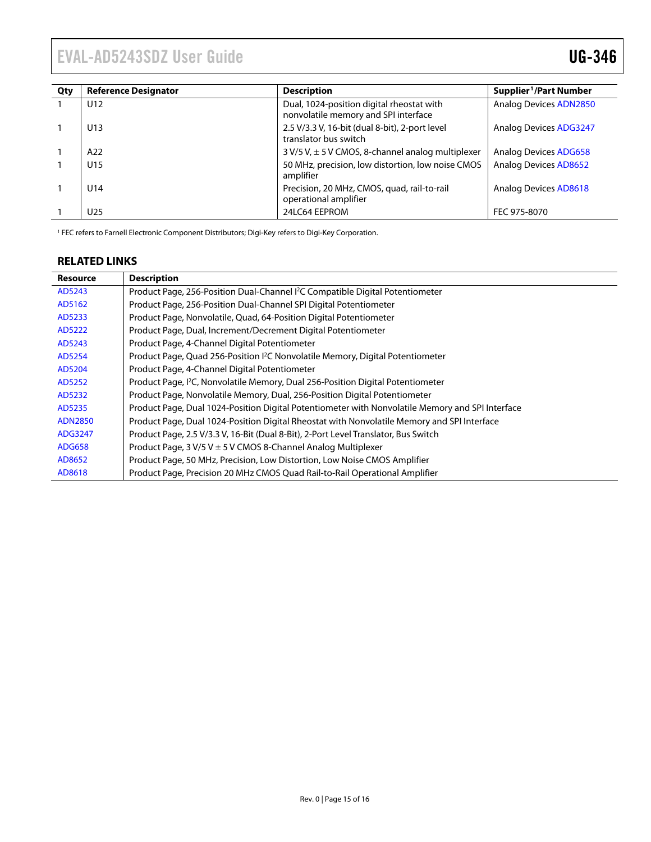<span id="page-14-1"></span><span id="page-14-0"></span>

| Qty | <b>Reference Designator</b> | <b>Description</b>                                                                | Supplier <sup>1</sup> /Part Number |
|-----|-----------------------------|-----------------------------------------------------------------------------------|------------------------------------|
|     | U12                         | Dual, 1024-position digital rheostat with<br>nonvolatile memory and SPI interface | <b>Analog Devices ADN2850</b>      |
|     | U13                         | 2.5 V/3.3 V, 16-bit (dual 8-bit), 2-port level<br>translator bus switch           | <b>Analog Devices ADG3247</b>      |
|     | A22                         | $3 V/5 V$ , $\pm 5 V$ CMOS, 8-channel analog multiplexer                          | <b>Analog Devices ADG658</b>       |
|     | U15                         | 50 MHz, precision, low distortion, low noise CMOS<br>amplifier                    | <b>Analog Devices AD8652</b>       |
|     | U14                         | Precision, 20 MHz, CMOS, quad, rail-to-rail<br>operational amplifier              | Analog Devices AD8618              |
|     | U25                         | 24LC64 EEPROM                                                                     | FEC 975-8070                       |

<sup>1</sup> FEC refers to Farnell Electronic Component Distributors; Digi-Key refers to Digi-Key Corporation.

### **RELATED LINKS**

| <b>Resource</b> | <b>Description</b>                                                                               |
|-----------------|--------------------------------------------------------------------------------------------------|
| AD5243          | Product Page, 256-Position Dual-Channel <sup>12</sup> C Compatible Digital Potentiometer         |
| AD5162          | Product Page, 256-Position Dual-Channel SPI Digital Potentiometer                                |
| AD5233          | Product Page, Nonvolatile, Quad, 64-Position Digital Potentiometer                               |
| AD5222          | Product Page, Dual, Increment/Decrement Digital Potentiometer                                    |
| AD5243          | Product Page, 4-Channel Digital Potentiometer                                                    |
| AD5254          | Product Page, Quad 256-Position <sup>2</sup> C Nonvolatile Memory, Digital Potentiometer         |
| AD5204          | Product Page, 4-Channel Digital Potentiometer                                                    |
| AD5252          | Product Page, <sup>12</sup> C, Nonvolatile Memory, Dual 256-Position Digital Potentiometer       |
| AD5232          | Product Page, Nonvolatile Memory, Dual, 256-Position Digital Potentiometer                       |
| AD5235          | Product Page, Dual 1024-Position Digital Potentiometer with Nonvolatile Memory and SPI Interface |
| <b>ADN2850</b>  | Product Page, Dual 1024-Position Digital Rheostat with Nonvolatile Memory and SPI Interface      |
| ADG3247         | Product Page, 2.5 V/3.3 V, 16-Bit (Dual 8-Bit), 2-Port Level Translator, Bus Switch              |
| <b>ADG658</b>   | Product Page, $3 V/5 V \pm 5 V$ CMOS 8-Channel Analog Multiplexer                                |
| AD8652          | Product Page, 50 MHz, Precision, Low Distortion, Low Noise CMOS Amplifier                        |
| AD8618          | Product Page, Precision 20 MHz CMOS Quad Rail-to-Rail Operational Amplifier                      |